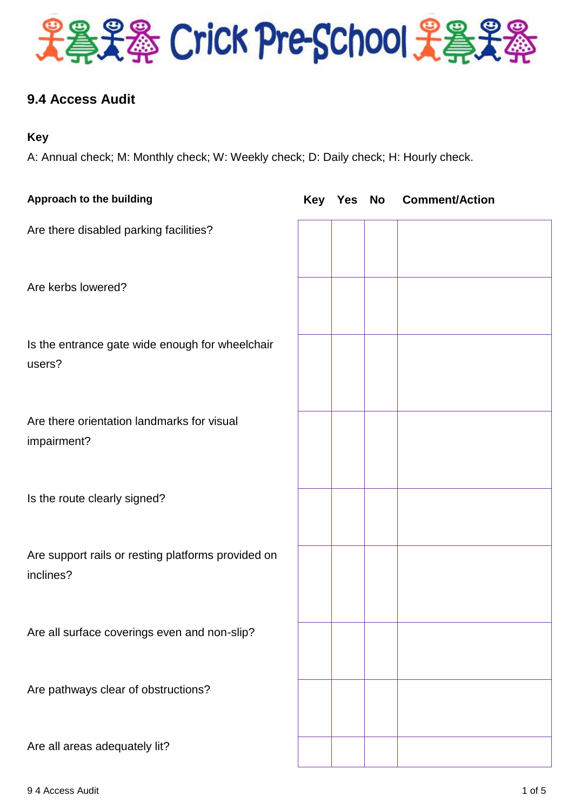

## **9.4 Access Audit**

## **Key**

A: Annual check; M: Monthly check; W: Weekly check; D: Daily check; H: Hourly check.

| Approach to the building                                        | Key | Yes | No | <b>Comment/Action</b> |
|-----------------------------------------------------------------|-----|-----|----|-----------------------|
| Are there disabled parking facilities?                          |     |     |    |                       |
| Are kerbs lowered?                                              |     |     |    |                       |
| Is the entrance gate wide enough for wheelchair<br>users?       |     |     |    |                       |
| Are there orientation landmarks for visual<br>impairment?       |     |     |    |                       |
| Is the route clearly signed?                                    |     |     |    |                       |
| Are support rails or resting platforms provided on<br>inclines? |     |     |    |                       |
| Are all surface coverings even and non-slip?                    |     |     |    |                       |
| Are pathways clear of obstructions?                             |     |     |    |                       |
| Are all areas adequately lit?                                   |     |     |    |                       |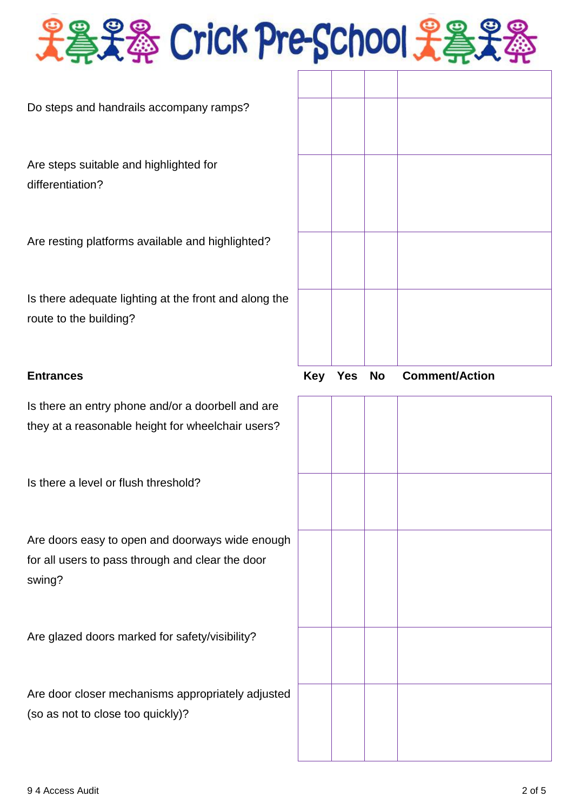## 是是是签 Crick Pre-School 是写:

Do steps and handrails accompany ramps?

Are steps suitable and highlighted for differentiation?

Are resting platforms available and highlighted?

Is there adequate lighting at the front and along the route to the building?

Is there an entry phone and/or a doorbell and are they at a reasonable height for wheelchair users?

Is there a level or flush threshold?

Are doors easy to open and doorways wide enough for all users to pass through and clear the door swing?

Are glazed doors marked for safety/visibility?

Are door closer mechanisms appropriately adjusted (so as not to close too quickly)?

**Entrances Key Yes No Comment/Action**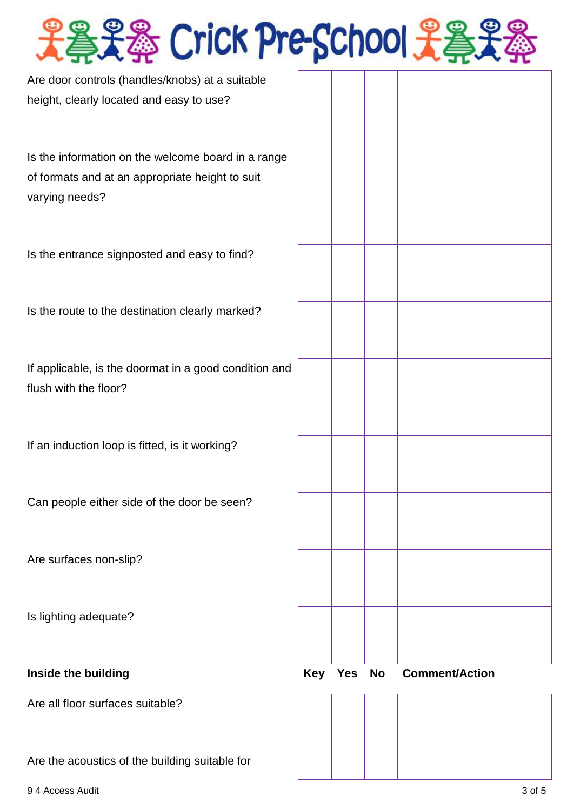| <b>鲁孚器 Crick Pre-School 웃</b>                                                  |     |            |           |                       |
|--------------------------------------------------------------------------------|-----|------------|-----------|-----------------------|
| Are door controls (handles/knobs) at a suitable                                |     |            |           |                       |
| height, clearly located and easy to use?                                       |     |            |           |                       |
| Is the information on the welcome board in a range                             |     |            |           |                       |
| of formats and at an appropriate height to suit<br>varying needs?              |     |            |           |                       |
| Is the entrance signposted and easy to find?                                   |     |            |           |                       |
| Is the route to the destination clearly marked?                                |     |            |           |                       |
| If applicable, is the doormat in a good condition and<br>flush with the floor? |     |            |           |                       |
| If an induction loop is fitted, is it working?                                 |     |            |           |                       |
| Can people either side of the door be seen?                                    |     |            |           |                       |
| Are surfaces non-slip?                                                         |     |            |           |                       |
| Is lighting adequate?                                                          |     |            |           |                       |
| Inside the building                                                            | Key | <b>Yes</b> | <b>No</b> | <b>Comment/Action</b> |
| Are all floor surfaces suitable?                                               |     |            |           |                       |

Are the acoustics of the building suitable for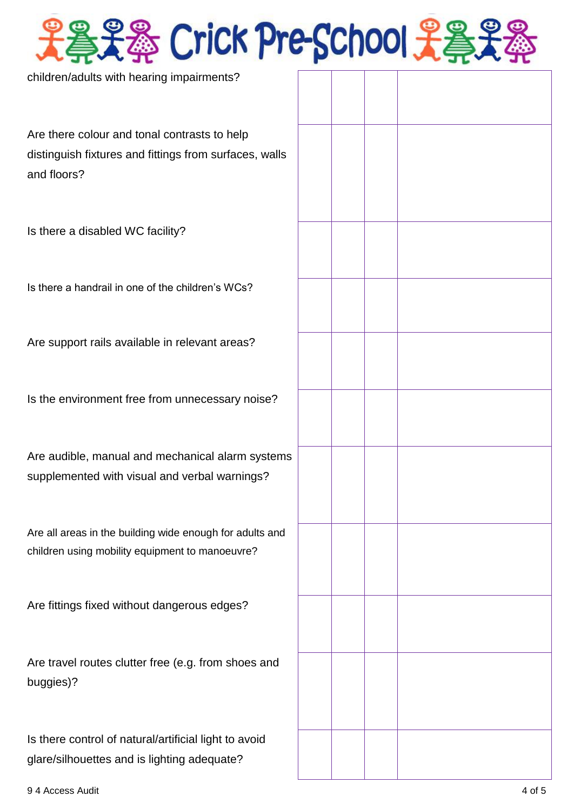| 異異器 Crick Pre-School 光導                                                                                               |  |  |  |
|-----------------------------------------------------------------------------------------------------------------------|--|--|--|
| children/adults with hearing impairments?                                                                             |  |  |  |
| Are there colour and tonal contrasts to help<br>distinguish fixtures and fittings from surfaces, walls<br>and floors? |  |  |  |
| Is there a disabled WC facility?                                                                                      |  |  |  |
| Is there a handrail in one of the children's WCs?                                                                     |  |  |  |
| Are support rails available in relevant areas?                                                                        |  |  |  |
| Is the environment free from unnecessary noise?                                                                       |  |  |  |
| Are audible, manual and mechanical alarm systems<br>supplemented with visual and verbal warnings?                     |  |  |  |
| Are all areas in the building wide enough for adults and<br>children using mobility equipment to manoeuvre?           |  |  |  |
| Are fittings fixed without dangerous edges?                                                                           |  |  |  |
| Are travel routes clutter free (e.g. from shoes and<br>buggies)?                                                      |  |  |  |
| Is there control of natural/artificial light to avoid                                                                 |  |  |  |

glare/silhouettes and is lighting adequate?